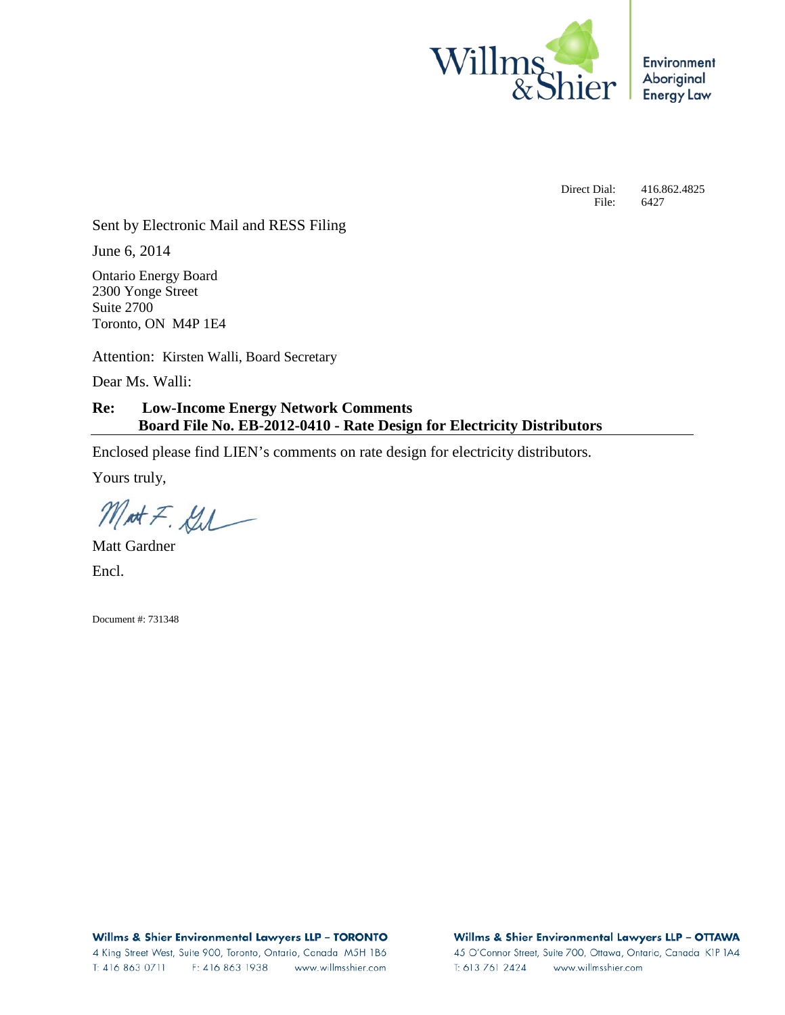

**Environment** Aboriginal **Energy Law** 

Direct Dial: 416.862.4825 File: 6427

Sent by Electronic Mail and RESS Filing

June 6, 2014

Ontario Energy Board 2300 Yonge Street Suite 2700 Toronto, ON M4P 1E4

Attention: Kirsten Walli, Board Secretary

Dear Ms. Walli:

**Re: Low-Income Energy Network Comments Board File No. EB-2012-0410 - Rate Design for Electricity Distributors**

Enclosed please find LIEN's comments on rate design for electricity distributors.

Yours truly,

Mat F. Gil

Matt Gardner Encl.

Document #: 731348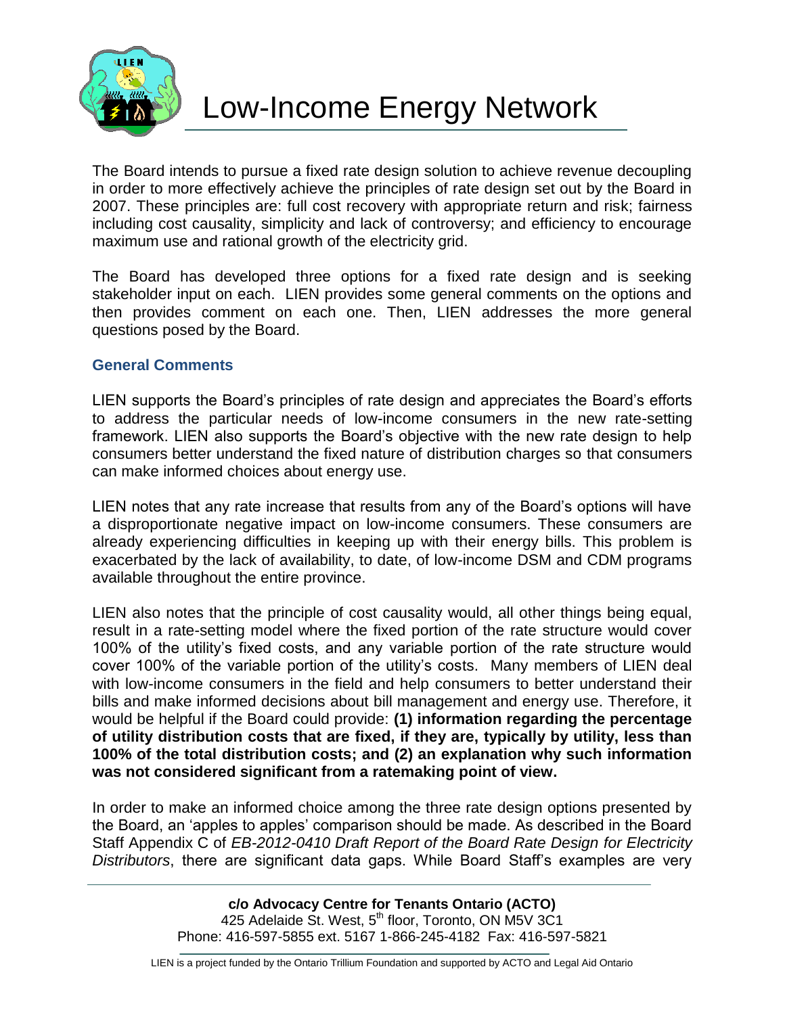

The Board intends to pursue a fixed rate design solution to achieve revenue decoupling in order to more effectively achieve the principles of rate design set out by the Board in 2007. These principles are: full cost recovery with appropriate return and risk; fairness including cost causality, simplicity and lack of controversy; and efficiency to encourage maximum use and rational growth of the electricity grid.

The Board has developed three options for a fixed rate design and is seeking stakeholder input on each. LIEN provides some general comments on the options and then provides comment on each one. Then, LIEN addresses the more general questions posed by the Board.

## **General Comments**

LIEN supports the Board's principles of rate design and appreciates the Board's efforts to address the particular needs of low-income consumers in the new rate-setting framework. LIEN also supports the Board's objective with the new rate design to help consumers better understand the fixed nature of distribution charges so that consumers can make informed choices about energy use.

LIEN notes that any rate increase that results from any of the Board's options will have a disproportionate negative impact on low-income consumers. These consumers are already experiencing difficulties in keeping up with their energy bills. This problem is exacerbated by the lack of availability, to date, of low-income DSM and CDM programs available throughout the entire province.

LIEN also notes that the principle of cost causality would, all other things being equal, result in a rate-setting model where the fixed portion of the rate structure would cover 100% of the utility's fixed costs, and any variable portion of the rate structure would cover 100% of the variable portion of the utility's costs. Many members of LIEN deal with low-income consumers in the field and help consumers to better understand their bills and make informed decisions about bill management and energy use. Therefore, it would be helpful if the Board could provide: **(1) information regarding the percentage of utility distribution costs that are fixed, if they are, typically by utility, less than 100% of the total distribution costs; and (2) an explanation why such information was not considered significant from a ratemaking point of view.**

In order to make an informed choice among the three rate design options presented by the Board, an 'apples to apples' comparison should be made. As described in the Board Staff Appendix C of *EB-2012-0410 Draft Report of the Board Rate Design for Electricity Distributors*, there are significant data gaps. While Board Staff's examples are very

> **c/o Advocacy Centre for Tenants Ontario (ACTO)** 425 Adelaide St. West, 5<sup>th</sup> floor, Toronto, ON M5V 3C1 Phone: 416-597-5855 ext. 5167 1-866-245-4182 Fax: 416-597-5821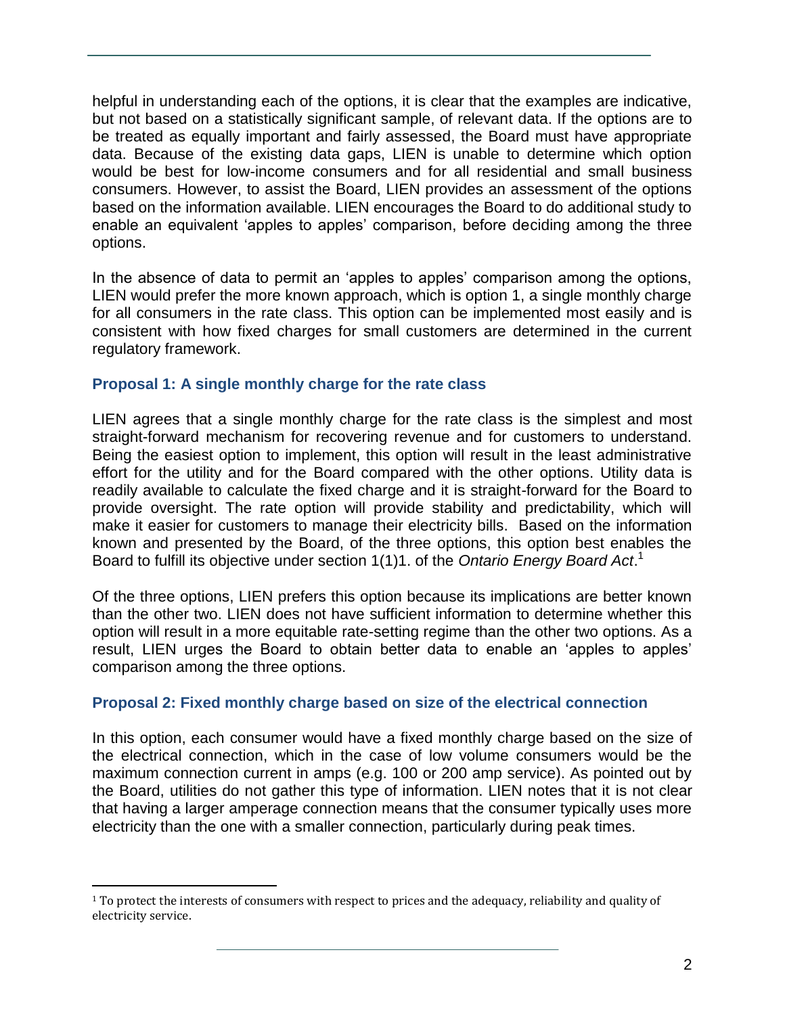helpful in understanding each of the options, it is clear that the examples are indicative, but not based on a statistically significant sample, of relevant data. If the options are to be treated as equally important and fairly assessed, the Board must have appropriate data. Because of the existing data gaps, LIEN is unable to determine which option would be best for low-income consumers and for all residential and small business consumers. However, to assist the Board, LIEN provides an assessment of the options based on the information available. LIEN encourages the Board to do additional study to enable an equivalent 'apples to apples' comparison, before deciding among the three options.

In the absence of data to permit an 'apples to apples' comparison among the options, LIEN would prefer the more known approach, which is option 1, a single monthly charge for all consumers in the rate class. This option can be implemented most easily and is consistent with how fixed charges for small customers are determined in the current regulatory framework.

## **Proposal 1: A single monthly charge for the rate class**

LIEN agrees that a single monthly charge for the rate class is the simplest and most straight-forward mechanism for recovering revenue and for customers to understand. Being the easiest option to implement, this option will result in the least administrative effort for the utility and for the Board compared with the other options. Utility data is readily available to calculate the fixed charge and it is straight-forward for the Board to provide oversight. The rate option will provide stability and predictability, which will make it easier for customers to manage their electricity bills. Based on the information known and presented by the Board, of the three options, this option best enables the Board to fulfill its objective under section 1(1)1. of the *Ontario Energy Board Act*. 1

Of the three options, LIEN prefers this option because its implications are better known than the other two. LIEN does not have sufficient information to determine whether this option will result in a more equitable rate-setting regime than the other two options. As a result, LIEN urges the Board to obtain better data to enable an 'apples to apples' comparison among the three options.

# **Proposal 2: Fixed monthly charge based on size of the electrical connection**

In this option, each consumer would have a fixed monthly charge based on the size of the electrical connection, which in the case of low volume consumers would be the maximum connection current in amps (e.g. 100 or 200 amp service). As pointed out by the Board, utilities do not gather this type of information. LIEN notes that it is not clear that having a larger amperage connection means that the consumer typically uses more electricity than the one with a smaller connection, particularly during peak times.

 $\overline{a}$ 

<sup>&</sup>lt;sup>1</sup> To protect the interests of consumers with respect to prices and the adequacy, reliability and quality of electricity service.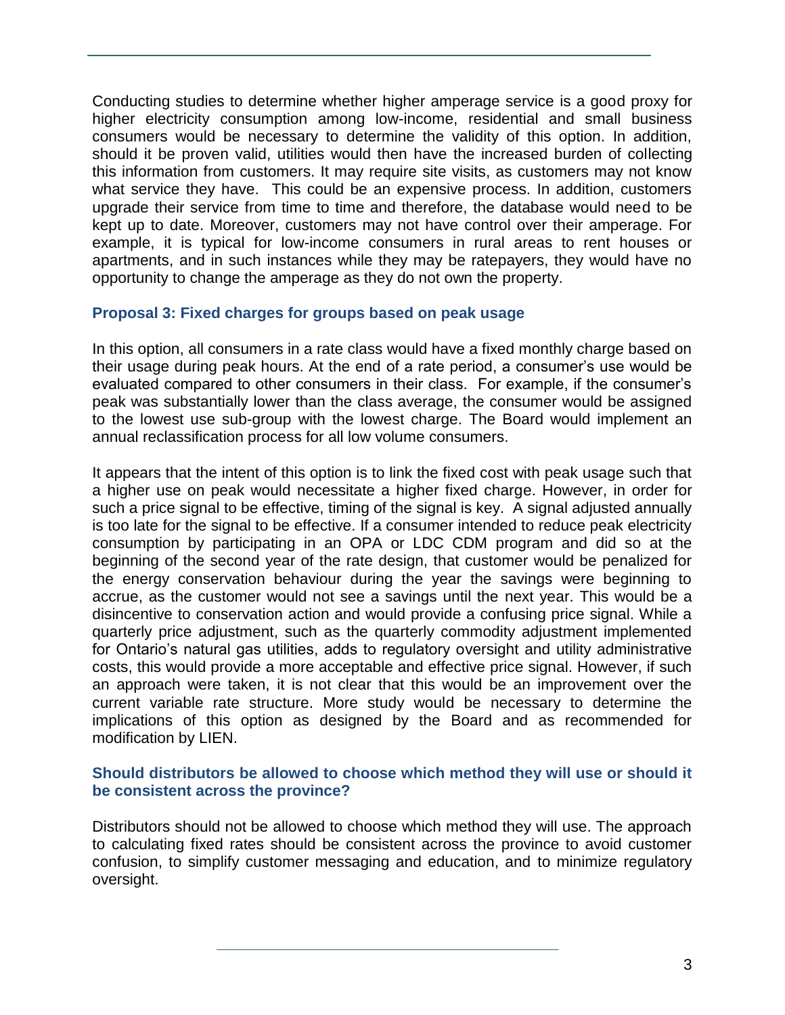Conducting studies to determine whether higher amperage service is a good proxy for higher electricity consumption among low-income, residential and small business consumers would be necessary to determine the validity of this option. In addition, should it be proven valid, utilities would then have the increased burden of collecting this information from customers. It may require site visits, as customers may not know what service they have. This could be an expensive process. In addition, customers upgrade their service from time to time and therefore, the database would need to be kept up to date. Moreover, customers may not have control over their amperage. For example, it is typical for low-income consumers in rural areas to rent houses or apartments, and in such instances while they may be ratepayers, they would have no opportunity to change the amperage as they do not own the property.

### **Proposal 3: Fixed charges for groups based on peak usage**

In this option, all consumers in a rate class would have a fixed monthly charge based on their usage during peak hours. At the end of a rate period, a consumer's use would be evaluated compared to other consumers in their class. For example, if the consumer's peak was substantially lower than the class average, the consumer would be assigned to the lowest use sub-group with the lowest charge. The Board would implement an annual reclassification process for all low volume consumers.

It appears that the intent of this option is to link the fixed cost with peak usage such that a higher use on peak would necessitate a higher fixed charge. However, in order for such a price signal to be effective, timing of the signal is key. A signal adjusted annually is too late for the signal to be effective. If a consumer intended to reduce peak electricity consumption by participating in an OPA or LDC CDM program and did so at the beginning of the second year of the rate design, that customer would be penalized for the energy conservation behaviour during the year the savings were beginning to accrue, as the customer would not see a savings until the next year. This would be a disincentive to conservation action and would provide a confusing price signal. While a quarterly price adjustment, such as the quarterly commodity adjustment implemented for Ontario's natural gas utilities, adds to regulatory oversight and utility administrative costs, this would provide a more acceptable and effective price signal. However, if such an approach were taken, it is not clear that this would be an improvement over the current variable rate structure. More study would be necessary to determine the implications of this option as designed by the Board and as recommended for modification by LIEN.

### **Should distributors be allowed to choose which method they will use or should it be consistent across the province?**

Distributors should not be allowed to choose which method they will use. The approach to calculating fixed rates should be consistent across the province to avoid customer confusion, to simplify customer messaging and education, and to minimize regulatory oversight.